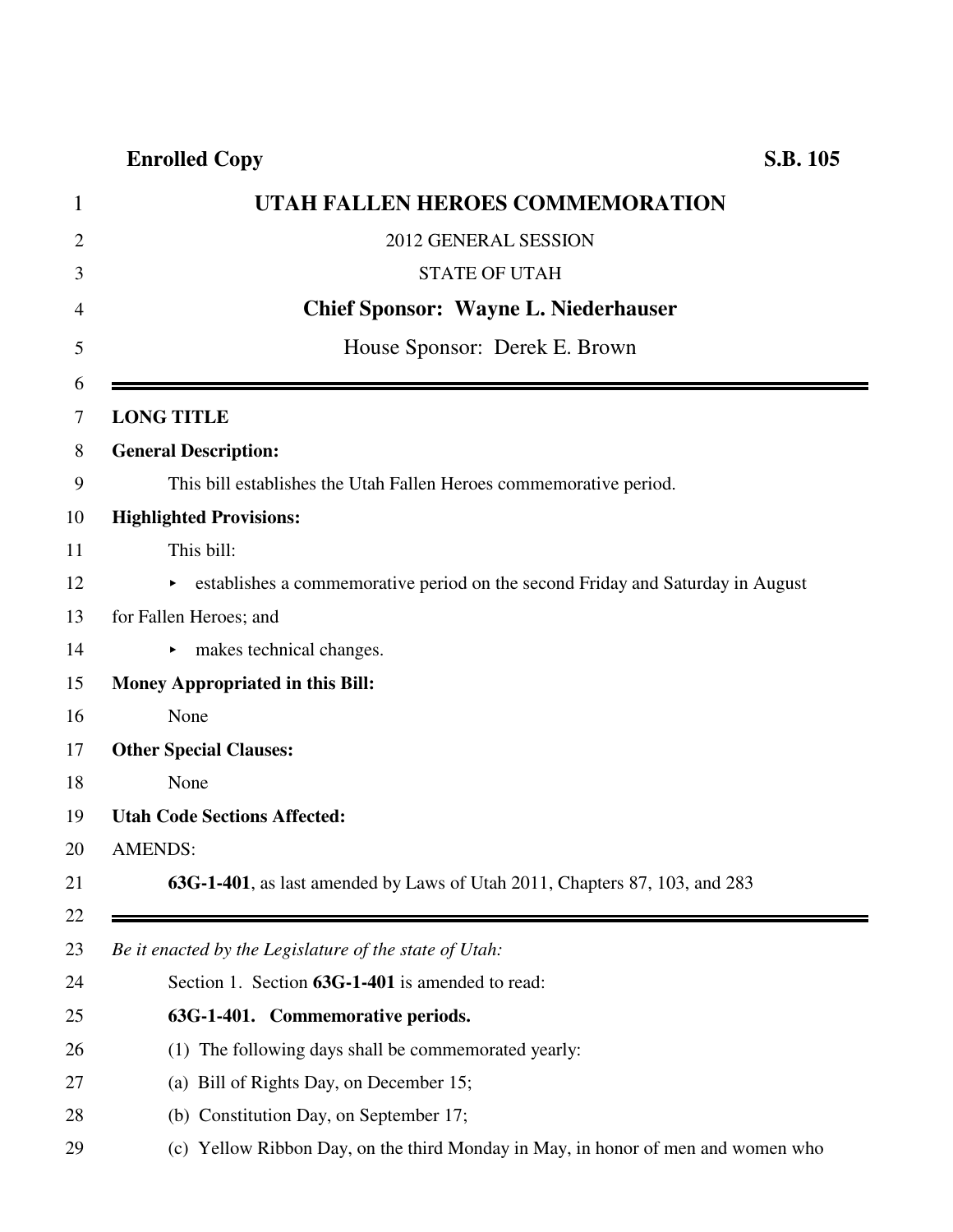## **Enrolled Copy S.B. 105**

| 1              | UTAH FALLEN HEROES COMMEMORATION                                                   |
|----------------|------------------------------------------------------------------------------------|
| $\overline{2}$ | 2012 GENERAL SESSION                                                               |
| 3              | <b>STATE OF UTAH</b>                                                               |
| $\overline{4}$ | <b>Chief Sponsor: Wayne L. Niederhauser</b>                                        |
| 5              | House Sponsor: Derek E. Brown                                                      |
| 6<br>7         | <b>LONG TITLE</b>                                                                  |
| 8              | <b>General Description:</b>                                                        |
| 9              | This bill establishes the Utah Fallen Heroes commemorative period.                 |
|                | <b>Highlighted Provisions:</b>                                                     |
|                | This bill:                                                                         |
|                | Examples a commemorative period on the second Friday and Saturday in August        |
|                | for Fallen Heroes; and                                                             |
|                | makes technical changes.<br>▶.                                                     |
|                | <b>Money Appropriated in this Bill:</b>                                            |
|                | None                                                                               |
|                | <b>Other Special Clauses:</b>                                                      |
|                | None                                                                               |
|                | <b>Utah Code Sections Affected:</b>                                                |
|                | <b>AMENDS:</b>                                                                     |
|                | <b>63G-1-401</b> , as last amended by Laws of Utah 2011, Chapters 87, 103, and 283 |
|                | Be it enacted by the Legislature of the state of Utah:                             |
|                | Section 1. Section 63G-1-401 is amended to read:                                   |
|                | 63G-1-401. Commemorative periods.                                                  |
|                | The following days shall be commemorated yearly:<br>(1)                            |
|                | (a) Bill of Rights Day, on December 15;                                            |
|                | (b) Constitution Day, on September 17;                                             |
|                | (c) Yellow Ribbon Day, on the third Monday in May, in honor of men and women who   |